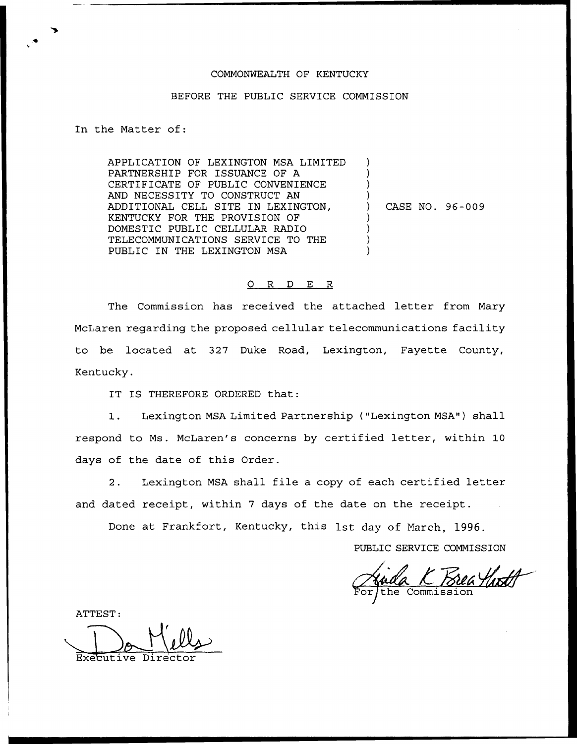## COMMONWEALTH OF KENTUCKY

## BEFORE THE PUBLIC SERVICE COMMISSION

In the Matter of:

APPLICATION OF LEXINGTON MSA LIMITED PARTNERSHIP FOR ISSUANCE OF A CERTIFICATE OF PUBLIC CONVENIENCE AND NECESSITY TO CONSTRUCT AN ADDITIONAL CELL SITE IN LEXINGTON, KENTUCKY FOR THE PROVISION OF DOMESTIC PUBLIC CELLULAR RADIO TELECOMMUNICATIONS SERVICE TO THE PUBLIC IN THE LEXINGTON MSA ) ) ) ) ) CASE NO. 96-009 ) ) ) )

## 0 R <sup>D</sup> E R

The Commission has received the attached letter from Mary McLaren regarding the proposed cellular telecommunications facility to be located at 327 Duke Road, Lexington, Fayette County, Kentucky.

IT IS THEREFORE ORDERED that:

1. Lexington MSA Limited Partnership {"Lexington MSA") shall respond to Ms. McLaren's concerns by certified letter, within 10 days of the date of this Order.

2. Lexington MSA shall file a copy of each certified letter and dated receipt, within <sup>7</sup> days of the date on the receipt.

Done at Frankfort, Kentucky, this 1st day of March, 1996.

PUBLIC SERVICE COMMISSION

Commission

ATTEST:

Executive